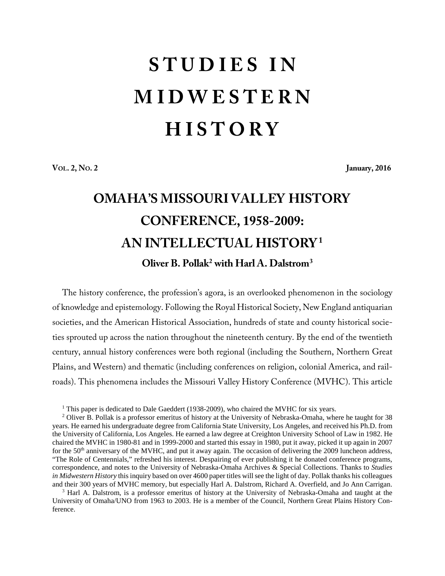# **S T U D I E S I N M I D W E S T E R N H I S T O R Y**

**VOL. 2, NO. 2 January, 2016**

## **OMAHA'S MISSOURI VALLEY HISTORY CONFERENCE, 1958-2009: AN INTELLECTUAL HISTORY[1](#page-0-0) Oliver B. Pollak[2](#page-0-1) with Harl A. Dalstrom[3](#page-0-2)**

The history conference, the profession's agora, is an overlooked phenomenon in the sociology of knowledge and epistemology. Following the Royal Historical Society, New England antiquarian societies, and the American Historical Association, hundreds of state and county historical societies sprouted up across the nation throughout the nineteenth century. By the end of the twentieth century, annual history conferences were both regional (including the Southern, Northern Great Plains, and Western) and thematic (including conferences on religion, colonial America, and railroads). This phenomena includes the Missouri Valley History Conference (MVHC). This article

<sup>&</sup>lt;sup>1</sup> This paper is dedicated to Dale Gaeddert (1938-2009), who chaired the MVHC for six years.

<span id="page-0-1"></span><span id="page-0-0"></span><sup>&</sup>lt;sup>2</sup> Oliver B. Pollak is a professor emeritus of history at the University of Nebraska-Omaha, where he taught for 38 years. He earned his undergraduate degree from California State University, Los Angeles, and received his Ph.D. from the University of California, Los Angeles. He earned a law degree at Creighton University School of Law in 1982. He chaired the MVHC in 1980-81 and in 1999-2000 and started this essay in 1980, put it away, picked it up again in 2007 for the  $50<sup>th</sup>$  anniversary of the MVHC, and put it away again. The occasion of delivering the 2009 luncheon address, "The Role of Centennials," refreshed his interest. Despairing of ever publishing it he donated conference programs, correspondence, and notes to the University of Nebraska-Omaha Archives & Special Collections. Thanks to *Studies in Midwestern History* this inquiry based on over 4600 paper titles will see the light of day. Pollak thanks his colleagues and their 300 years of MVHC memory, but especially Harl A. Dalstrom, Richard A. Overfield, and Jo Ann Carrigan.

<span id="page-0-2"></span><sup>&</sup>lt;sup>3</sup> Harl A. Dalstrom, is a professor emeritus of history at the University of Nebraska-Omaha and taught at the University of Omaha/UNO from 1963 to 2003. He is a member of the Council, Northern Great Plains History Conference.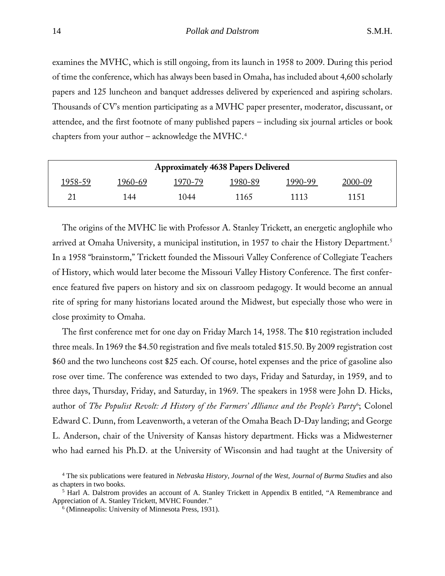examines the MVHC, which is still ongoing, from its launch in 1958 to 2009. During this period of time the conference, which has always been based in Omaha, has included about 4,600 scholarly papers and 125 luncheon and banquet addresses delivered by experienced and aspiring scholars. Thousands of CV's mention participating as a MVHC paper presenter, moderator, discussant, or attendee, and the first footnote of many published papers – including six journal articles or book chapters from your author – acknowledge the MVHC. $4$ 

| <b>Approximately 4638 Papers Delivered</b> |         |         |         |         |         |  |  |
|--------------------------------------------|---------|---------|---------|---------|---------|--|--|
| 1958-59                                    | 1960-69 | 1970-79 | 1980-89 | 1990-99 | 2000-09 |  |  |
| 21                                         | 144     | 1044    | 1165    | 1113    | 1151    |  |  |

The origins of the MVHC lie with Professor A. Stanley Trickett, an energetic anglophile who arrived at Omaha University, a municipal institution, in 19[5](#page-1-1)7 to chair the History Department.<sup>5</sup> In a 1958 "brainstorm," Trickett founded the Missouri Valley Conference of Collegiate Teachers of History, which would later become the Missouri Valley History Conference. The first conference featured five papers on history and six on classroom pedagogy. It would become an annual rite of spring for many historians located around the Midwest, but especially those who were in close proximity to Omaha.

The first conference met for one day on Friday March 14, 1958. The \$10 registration included three meals. In 1969 the \$4.50 registration and five meals totaled \$15.50. By 2009 registration cost \$60 and the two luncheons cost \$25 each. Of course, hotel expenses and the price of gasoline also rose over time. The conference was extended to two days, Friday and Saturday, in 1959, and to three days, Thursday, Friday, and Saturday, in 1969. The speakers in 1958 were John D. Hicks, author of *The Populist Revolt: A History of the Farmers' Alliance and the People's Party*[6](#page-1-2); Colonel Edward C. Dunn, from Leavenworth, a veteran of the Omaha Beach D-Day landing; and George L. Anderson, chair of the University of Kansas history department. Hicks was a Midwesterner who had earned his Ph.D. at the University of Wisconsin and had taught at the University of

<span id="page-1-0"></span><sup>4</sup> The six publications were featured in *Nebraska History*, *Journal of the West*, *Journal of Burma Studies* and also as chapters in two books.

<span id="page-1-2"></span><span id="page-1-1"></span><sup>5</sup> Harl A. Dalstrom provides an account of A. Stanley Trickett in Appendix B entitled, "A Remembrance and Appreciation of A. Stanley Trickett, MVHC Founder." 6 (Minneapolis: University of Minnesota Press, 1931).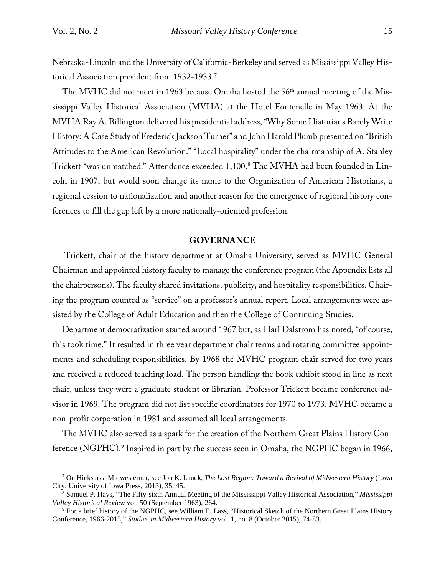Nebraska-Lincoln and the University of California-Berkeley and served as Mississippi Valley Historical Association president from 1932-1933.[7](#page-2-0)

The MVHC did not meet in 1963 because Omaha hosted the 56<sup>th</sup> annual meeting of the Mississippi Valley Historical Association (MVHA) at the Hotel Fontenelle in May 1963. At the MVHA Ray A. Billington delivered his presidential address, "Why Some Historians Rarely Write History: A Case Study of Frederick Jackson Turner" and John Harold Plumb presented on "British Attitudes to the American Revolution." "Local hospitality" under the chairmanship of A. Stanley Trickett "was unmatched." Attendance exceeded 1,100.[8](#page-2-1) The MVHA had been founded in Lincoln in 1907, but would soon change its name to the Organization of American Historians, a regional cession to nationalization and another reason for the emergence of regional history conferences to fill the gap left by a more nationally-oriented profession.

#### **GOVERNANCE**

Trickett, chair of the history department at Omaha University, served as MVHC General Chairman and appointed history faculty to manage the conference program (the Appendix lists all the chairpersons). The faculty shared invitations, publicity, and hospitality responsibilities. Chairing the program counted as "service" on a professor's annual report. Local arrangements were assisted by the College of Adult Education and then the College of Continuing Studies.

Department democratization started around 1967 but, as Harl Dalstrom has noted, "of course, this took time." It resulted in three year department chair terms and rotating committee appointments and scheduling responsibilities. By 1968 the MVHC program chair served for two years and received a reduced teaching load. The person handling the book exhibit stood in line as next chair, unless they were a graduate student or librarian. Professor Trickett became conference advisor in 1969. The program did not list specific coordinators for 1970 to 1973. MVHC became a non-profit corporation in 1981 and assumed all local arrangements.

The MVHC also served as a spark for the creation of the Northern Great Plains History Con-ference (NGPHC).<sup>[9](#page-2-2)</sup> Inspired in part by the success seen in Omaha, the NGPHC began in 1966,

<span id="page-2-0"></span><sup>7</sup> On Hicks as a Midwesterner, see Jon K. Lauck, *The Lost Region: Toward a Revival of Midwestern History* (Iowa City: University of Iowa Press, 2013), 35, 45.

<span id="page-2-1"></span><sup>8</sup> Samuel P. Hays, "The Fifty-sixth Annual Meeting of the Mississippi Valley Historical Association," *Mississippi Valley Historical Review* vol. 50 (September 1963), 264.<br><sup>9</sup> For a brief history of the NGPHC, see William E. Lass, "Historical Sketch of the Northern Great Plains History

<span id="page-2-2"></span>Conference, 1966-2015," *Studies in Midwestern History* vol. 1, no. 8 (October 2015), 74-83.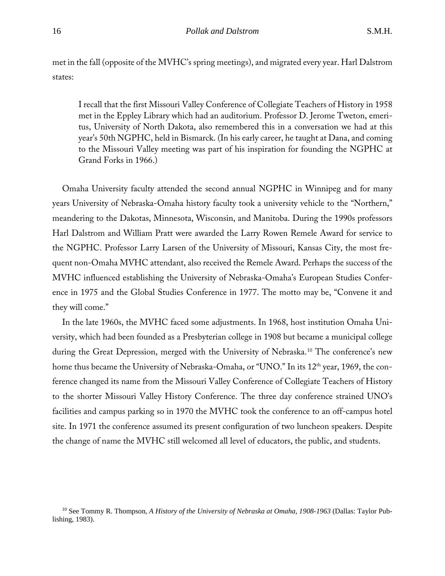met in the fall (opposite of the MVHC's spring meetings), and migrated every year. Harl Dalstrom states:

I recall that the first Missouri Valley Conference of Collegiate Teachers of History in 1958 met in the Eppley Library which had an auditorium. Professor D. Jerome Tweton, emeritus, University of North Dakota, also remembered this in a conversation we had at this year's 50th NGPHC, held in Bismarck. (In his early career, he taught at Dana, and coming to the Missouri Valley meeting was part of his inspiration for founding the NGPHC at Grand Forks in 1966.)

Omaha University faculty attended the second annual NGPHC in Winnipeg and for many years University of Nebraska-Omaha history faculty took a university vehicle to the "Northern," meandering to the Dakotas, Minnesota, Wisconsin, and Manitoba. During the 1990s professors Harl Dalstrom and William Pratt were awarded the Larry Rowen Remele Award for service to the NGPHC. Professor Larry Larsen of the University of Missouri, Kansas City, the most frequent non-Omaha MVHC attendant, also received the Remele Award. Perhaps the success of the MVHC influenced establishing the University of Nebraska-Omaha's European Studies Conference in 1975 and the Global Studies Conference in 1977. The motto may be, "Convene it and they will come."

In the late 1960s, the MVHC faced some adjustments. In 1968, host institution Omaha University, which had been founded as a Presbyterian college in 1908 but became a municipal college during the Great Depression, merged with the University of Nebraska.<sup>[10](#page-3-0)</sup> The conference's new home thus became the University of Nebraska-Omaha, or "UNO." In its 12<sup>th</sup> year, 1969, the conference changed its name from the Missouri Valley Conference of Collegiate Teachers of History to the shorter Missouri Valley History Conference. The three day conference strained UNO's facilities and campus parking so in 1970 the MVHC took the conference to an off-campus hotel site. In 1971 the conference assumed its present configuration of two luncheon speakers. Despite the change of name the MVHC still welcomed all level of educators, the public, and students.

<span id="page-3-0"></span><sup>10</sup> See Tommy R. Thompson, *A History of the University of Nebraska at Omaha, 1908-1963* (Dallas: Taylor Publishing, 1983).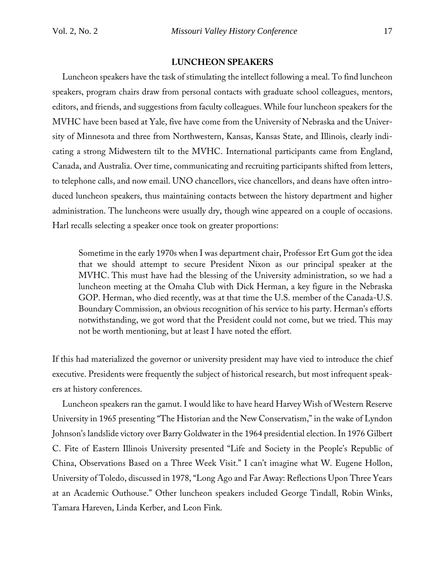#### **LUNCHEON SPEAKERS**

Luncheon speakers have the task of stimulating the intellect following a meal. To find luncheon speakers, program chairs draw from personal contacts with graduate school colleagues, mentors, editors, and friends, and suggestions from faculty colleagues. While four luncheon speakers for the MVHC have been based at Yale, five have come from the University of Nebraska and the University of Minnesota and three from Northwestern, Kansas, Kansas State, and Illinois, clearly indicating a strong Midwestern tilt to the MVHC. International participants came from England, Canada, and Australia. Over time, communicating and recruiting participants shifted from letters, to telephone calls, and now email. UNO chancellors, vice chancellors, and deans have often introduced luncheon speakers, thus maintaining contacts between the history department and higher administration. The luncheons were usually dry, though wine appeared on a couple of occasions. Harl recalls selecting a speaker once took on greater proportions:

Sometime in the early 1970s when I was department chair, Professor Ert Gum got the idea that we should attempt to secure President Nixon as our principal speaker at the MVHC. This must have had the blessing of the University administration, so we had a luncheon meeting at the Omaha Club with Dick Herman, a key figure in the Nebraska GOP. Herman, who died recently, was at that time the U.S. member of the Canada-U.S. Boundary Commission, an obvious recognition of his service to his party. Herman's efforts notwithstanding, we got word that the President could not come, but we tried. This may not be worth mentioning, but at least I have noted the effort.

If this had materialized the governor or university president may have vied to introduce the chief executive. Presidents were frequently the subject of historical research, but most infrequent speakers at history conferences.

Luncheon speakers ran the gamut. I would like to have heard Harvey Wish of Western Reserve University in 1965 presenting "The Historian and the New Conservatism," in the wake of Lyndon Johnson's landslide victory over Barry Goldwater in the 1964 presidential election. In 1976 Gilbert C. Fite of Eastern Illinois University presented "Life and Society in the People's Republic of China, Observations Based on a Three Week Visit." I can't imagine what W. Eugene Hollon, University of Toledo, discussed in 1978, "Long Ago and Far Away: Reflections Upon Three Years at an Academic Outhouse." Other luncheon speakers included George Tindall, Robin Winks, Tamara Hareven, Linda Kerber, and Leon Fink.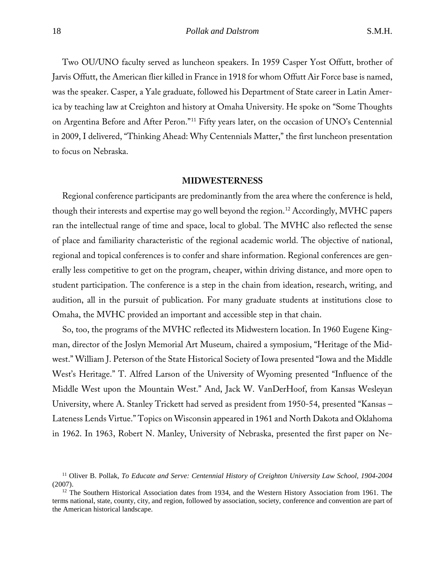Two OU/UNO faculty served as luncheon speakers. In 1959 Casper Yost Offutt, brother of Jarvis Offutt, the American flier killed in France in 1918 for whom Offutt Air Force base is named, was the speaker. Casper, a Yale graduate, followed his Department of State career in Latin America by teaching law at Creighton and history at Omaha University. He spoke on "Some Thoughts on Argentina Before and After Peron."[11](#page-5-0) Fifty years later, on the occasion of UNO's Centennial in 2009, I delivered, "Thinking Ahead: Why Centennials Matter," the first luncheon presentation to focus on Nebraska.

#### **MIDWESTERNESS**

Regional conference participants are predominantly from the area where the conference is held, though their interests and expertise may go well beyond the region.<sup>[12](#page-5-1)</sup> Accordingly, MVHC papers ran the intellectual range of time and space, local to global. The MVHC also reflected the sense of place and familiarity characteristic of the regional academic world. The objective of national, regional and topical conferences is to confer and share information. Regional conferences are generally less competitive to get on the program, cheaper, within driving distance, and more open to student participation. The conference is a step in the chain from ideation, research, writing, and audition, all in the pursuit of publication. For many graduate students at institutions close to Omaha, the MVHC provided an important and accessible step in that chain.

So, too, the programs of the MVHC reflected its Midwestern location. In 1960 Eugene Kingman, director of the Joslyn Memorial Art Museum, chaired a symposium, "Heritage of the Midwest." William J. Peterson of the State Historical Society of Iowa presented "Iowa and the Middle West's Heritage." T. Alfred Larson of the University of Wyoming presented "Influence of the Middle West upon the Mountain West." And, Jack W. VanDerHoof, from Kansas Wesleyan University, where A. Stanley Trickett had served as president from 1950-54, presented "Kansas – Lateness Lends Virtue." Topics on Wisconsin appeared in 1961 and North Dakota and Oklahoma in 1962. In 1963, Robert N. Manley, University of Nebraska, presented the first paper on Ne-

<span id="page-5-0"></span><sup>11</sup> Oliver B. Pollak, *To Educate and Serve: Centennial History of Creighton University Law School, 1904-2004*  (2007).

<span id="page-5-1"></span> $12$  The Southern Historical Association dates from 1934, and the Western History Association from 1961. The terms national, state, county, city, and region, followed by association, society, conference and convention are part of the American historical landscape.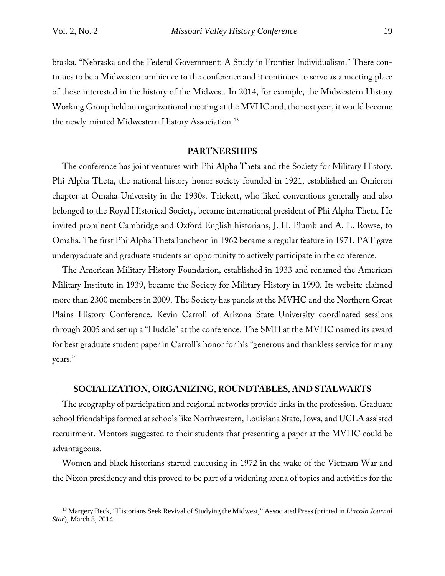braska, "Nebraska and the Federal Government: A Study in Frontier Individualism." There continues to be a Midwestern ambience to the conference and it continues to serve as a meeting place of those interested in the history of the Midwest. In 2014, for example, the Midwestern History Working Group held an organizational meeting at the MVHC and, the next year, it would become the newly-minted Midwestern History Association.<sup>[13](#page-6-0)</sup>

#### **PARTNERSHIPS**

The conference has joint ventures with Phi Alpha Theta and the Society for Military History. Phi Alpha Theta, the national history honor society founded in 1921, established an Omicron chapter at Omaha University in the 1930s. Trickett, who liked conventions generally and also belonged to the Royal Historical Society, became international president of Phi Alpha Theta. He invited prominent Cambridge and Oxford English historians, J. H. Plumb and A. L. Rowse, to Omaha. The first Phi Alpha Theta luncheon in 1962 became a regular feature in 1971. PAT gave undergraduate and graduate students an opportunity to actively participate in the conference.

The American Military History Foundation, established in 1933 and renamed the American Military Institute in 1939, became the Society for Military History in 1990. Its website claimed more than 2300 members in 2009. The Society has panels at the MVHC and the Northern Great Plains History Conference. Kevin Carroll of Arizona State University coordinated sessions through 2005 and set up a "Huddle" at the conference. The SMH at the MVHC named its award for best graduate student paper in Carroll's honor for his "generous and thankless service for many years."

#### **SOCIALIZATION, ORGANIZING, ROUNDTABLES, AND STALWARTS**

The geography of participation and regional networks provide links in the profession. Graduate school friendships formed at schools like Northwestern, Louisiana State, Iowa, and UCLA assisted recruitment. Mentors suggested to their students that presenting a paper at the MVHC could be advantageous.

Women and black historians started caucusing in 1972 in the wake of the Vietnam War and the Nixon presidency and this proved to be part of a widening arena of topics and activities for the

<span id="page-6-0"></span><sup>13</sup> Margery Beck, "Historians Seek Revival of Studying the Midwest," Associated Press (printed in *Lincoln Journal Star*), March 8, 2014.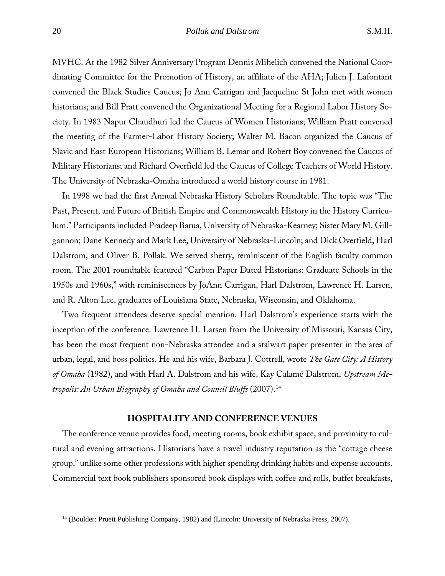MVHC. At the 1982 Silver Anniversary Program Dennis Mihelich convened the National Coordinating Committee for the Promotion of History, an affiliate of the AHA; Julien J. Lafontant convened the Black Studies Caucus; Jo Ann Carrigan and Jacqueline St John met with women historians; and Bill Pratt convened the Organizational Meeting for a Regional Labor History Society. In 1983 Napur Chaudhuri led the Caucus of Women Historians; William Pratt convened the meeting of the Farmer-Labor History Society; Walter M. Bacon organized the Caucus of Slavic and East European Historians; William B. Lemar and Robert Boy convened the Caucus of Military Historians; and Richard Overfield led the Caucus of College Teachers of World History. The University of Nebraska-Omaha introduced a world history course in 1981.

In 1998 we had the first Annual Nebraska History Scholars Roundtable. The topic was "The Past, Present, and Future of British Empire and Commonwealth History in the History Curriculum." Participants included Pradeep Barua, University of Nebraska-Kearney; Sister Mary M. Gillgannon; Dane Kennedy and Mark Lee, University of Nebraska-Lincoln; and Dick Overfield, Harl Dalstrom, and Oliver B. Pollak. We served sherry, reminiscent of the English faculty common room. The 2001 roundtable featured "Carbon Paper Dated Historians: Graduate Schools in the 1950s and 1960s," with reminiscences by JoAnn Carrigan, Harl Dalstrom, Lawrence H. Larsen, and R. Alton Lee, graduates of Louisiana State, Nebraska, Wisconsin, and Oklahoma.

Two frequent attendees deserve special mention. Harl Dalstrom's experience starts with the inception of the conference. Lawrence H. Larsen from the University of Missouri, Kansas City, has been the most frequent non-Nebraska attendee and a stalwart paper presenter in the area of urban, legal, and boss politics. He and his wife, Barbara J. Cottrell, wrote *The Gate City: A History of Omaha* (1982), and with Harl A. Dalstrom and his wife, Kay Calamé Dalstrom, *Upstream Metropolis: An Urban Biography of Omaha and Council Bluffs* (2007).[14](#page-7-0)

#### **HOSPITALITY AND CONFERENCE VENUES**

The conference venue provides food, meeting rooms, book exhibit space, and proximity to cultural and evening attractions. Historians have a travel industry reputation as the "cottage cheese group," unlike some other professions with higher spending drinking habits and expense accounts. Commercial text book publishers sponsored book displays with coffee and rolls, buffet breakfasts,

<span id="page-7-0"></span><sup>&</sup>lt;sup>14</sup> (Boulder: Pruett Publishing Company, 1982) and (Lincoln: University of Nebraska Press, 2007).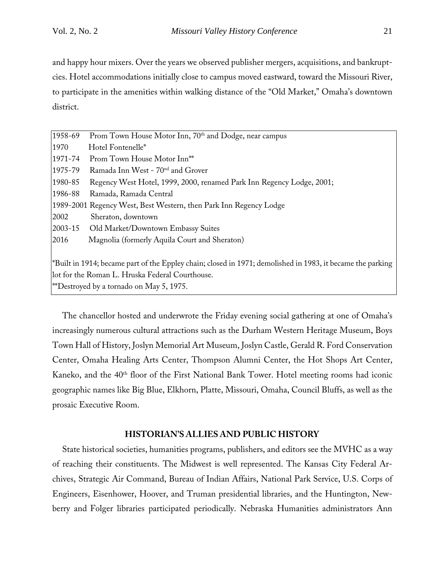and happy hour mixers. Over the years we observed publisher mergers, acquisitions, and bankruptcies. Hotel accommodations initially close to campus moved eastward, toward the Missouri River, to participate in the amenities within walking distance of the "Old Market," Omaha's downtown district.

| 1958-69                                                                                                                | Prom Town House Motor Inn, 70 <sup>th</sup> and Dodge, near campus    |  |  |  |
|------------------------------------------------------------------------------------------------------------------------|-----------------------------------------------------------------------|--|--|--|
| 1970                                                                                                                   | Hotel Fontenelle*                                                     |  |  |  |
| 1971-74                                                                                                                | Prom Town House Motor Inn <sup>**</sup>                               |  |  |  |
| 1975-79                                                                                                                | Ramada Inn West - 70 <sup>nd</sup> and Grover                         |  |  |  |
| 1980-85                                                                                                                | Regency West Hotel, 1999, 2000, renamed Park Inn Regency Lodge, 2001; |  |  |  |
| 1986-88                                                                                                                | Ramada, Ramada Central                                                |  |  |  |
|                                                                                                                        | 1989-2001 Regency West, Best Western, then Park Inn Regency Lodge     |  |  |  |
| 2002                                                                                                                   | Sheraton, downtown                                                    |  |  |  |
| 2003-15                                                                                                                | Old Market/Downtown Embassy Suites                                    |  |  |  |
| 2016                                                                                                                   | Magnolia (formerly Aquila Court and Sheraton)                         |  |  |  |
|                                                                                                                        |                                                                       |  |  |  |
| <sup>*</sup> Built in 1914; became part of the Eppley chain; closed in 1971; demolished in 1983, it became the parking |                                                                       |  |  |  |
| lot for the Roman L. Hruska Federal Courthouse.                                                                        |                                                                       |  |  |  |
| <sup>**</sup> Destroyed by a tornado on May 5, 1975.                                                                   |                                                                       |  |  |  |

The chancellor hosted and underwrote the Friday evening social gathering at one of Omaha's increasingly numerous cultural attractions such as the Durham Western Heritage Museum, Boys Town Hall of History, Joslyn Memorial Art Museum, Joslyn Castle, Gerald R. Ford Conservation Center, Omaha Healing Arts Center, Thompson Alumni Center, the Hot Shops Art Center, Kaneko, and the 40<sup>th</sup> floor of the First National Bank Tower. Hotel meeting rooms had iconic geographic names like Big Blue, Elkhorn, Platte, Missouri, Omaha, Council Bluffs, as well as the prosaic Executive Room.

#### **HISTORIAN'S ALLIES AND PUBLIC HISTORY**

State historical societies, humanities programs, publishers, and editors see the MVHC as a way of reaching their constituents. The Midwest is well represented. The Kansas City Federal Archives, Strategic Air Command, Bureau of Indian Affairs, National Park Service, U.S. Corps of Engineers, Eisenhower, Hoover, and Truman presidential libraries, and the Huntington, Newberry and Folger libraries participated periodically. Nebraska Humanities administrators Ann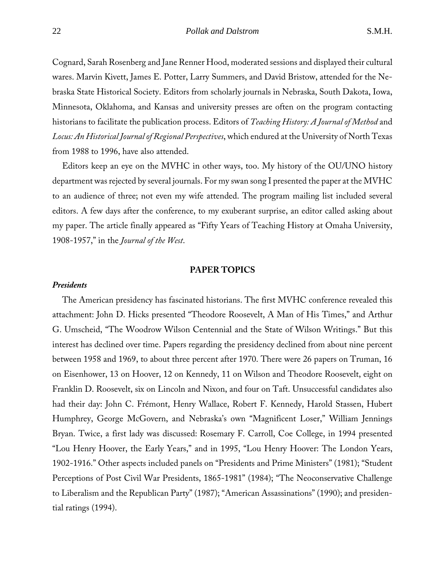Cognard, Sarah Rosenberg and Jane Renner Hood, moderated sessions and displayed their cultural wares. Marvin Kivett, James E. Potter, Larry Summers, and David Bristow, attended for the Nebraska State Historical Society. Editors from scholarly journals in Nebraska, South Dakota, Iowa, Minnesota, Oklahoma, and Kansas and university presses are often on the program contacting historians to facilitate the publication process. Editors of *Teaching History: A Journal of Method* and *Locus: An Historical Journal of Regional Perspectives*, which endured at the University of North Texas from 1988 to 1996, have also attended.

Editors keep an eye on the MVHC in other ways, too. My history of the OU/UNO history department was rejected by several journals. For my swan song I presented the paper at the MVHC to an audience of three; not even my wife attended. The program mailing list included several editors. A few days after the conference, to my exuberant surprise, an editor called asking about my paper. The article finally appeared as "Fifty Years of Teaching History at Omaha University, 1908-1957," in the *Journal of the West*.

#### **PAPER TOPICS**

#### *Presidents*

The American presidency has fascinated historians. The first MVHC conference revealed this attachment: John D. Hicks presented "Theodore Roosevelt, A Man of His Times," and Arthur G. Umscheid, "The Woodrow Wilson Centennial and the State of Wilson Writings." But this interest has declined over time. Papers regarding the presidency declined from about nine percent between 1958 and 1969, to about three percent after 1970. There were 26 papers on Truman, 16 on Eisenhower, 13 on Hoover, 12 on Kennedy, 11 on Wilson and Theodore Roosevelt, eight on Franklin D. Roosevelt, six on Lincoln and Nixon, and four on Taft. Unsuccessful candidates also had their day: John C. Frémont, Henry Wallace, Robert F. Kennedy, Harold Stassen, Hubert Humphrey, George McGovern, and Nebraska's own "Magnificent Loser," William Jennings Bryan. Twice, a first lady was discussed: Rosemary F. Carroll, Coe College, in 1994 presented "Lou Henry Hoover, the Early Years," and in 1995, "Lou Henry Hoover: The London Years, 1902-1916." Other aspects included panels on "Presidents and Prime Ministers" (1981); "Student Perceptions of Post Civil War Presidents, 1865-1981" (1984); "The Neoconservative Challenge to Liberalism and the Republican Party" (1987); "American Assassinations" (1990); and presidential ratings (1994).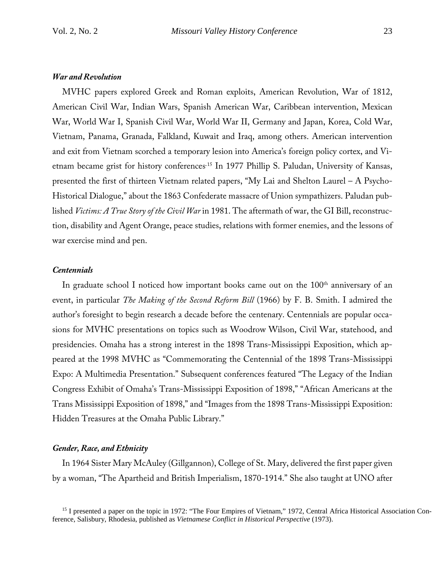#### *War and Revolution*

MVHC papers explored Greek and Roman exploits, American Revolution, War of 1812, American Civil War, Indian Wars, Spanish American War, Caribbean intervention, Mexican War, World War I, Spanish Civil War, World War II, Germany and Japan, Korea, Cold War, Vietnam, Panama, Granada, Falkland, Kuwait and Iraq, among others. American intervention and exit from Vietnam scorched a temporary lesion into America's foreign policy cortex, and Vietnam became grist for history conferences**.**[15](#page-10-0) In 1977 Phillip S. Paludan, University of Kansas, presented the first of thirteen Vietnam related papers, "My Lai and Shelton Laurel – A Psycho-Historical Dialogue," about the 1863 Confederate massacre of Union sympathizers. Paludan published *Victims: A True Story of the Civil War* in 1981. The aftermath of war, the GI Bill, reconstruction, disability and Agent Orange, peace studies, relations with former enemies, and the lessons of war exercise mind and pen.

#### *Centennials*

In graduate school I noticed how important books came out on the 100<sup>th</sup> anniversary of an event, in particular *The Making of the Second Reform Bill* (1966) by F. B. Smith. I admired the author's foresight to begin research a decade before the centenary. Centennials are popular occasions for MVHC presentations on topics such as Woodrow Wilson, Civil War, statehood, and presidencies. Omaha has a strong interest in the 1898 Trans-Mississippi Exposition, which appeared at the 1998 MVHC as "Commemorating the Centennial of the 1898 Trans-Mississippi Expo: A Multimedia Presentation." Subsequent conferences featured "The Legacy of the Indian Congress Exhibit of Omaha's Trans-Mississippi Exposition of 1898," "African Americans at the Trans Mississippi Exposition of 1898," and "Images from the 1898 Trans-Mississippi Exposition: Hidden Treasures at the Omaha Public Library."

#### *Gender, Race, and Ethnicity*

In 1964 Sister Mary McAuley (Gillgannon), College of St. Mary, delivered the first paper given by a woman, "The Apartheid and British Imperialism, 1870-1914." She also taught at UNO after

<span id="page-10-0"></span><sup>15</sup> I presented a paper on the topic in 1972: "The Four Empires of Vietnam," 1972, Central Africa Historical Association Conference, Salisbury, Rhodesia, published as *Vietnamese Conflict in Historical Perspective* (1973).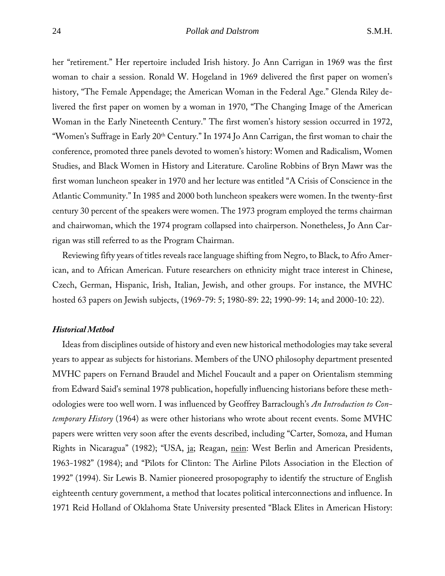her "retirement." Her repertoire included Irish history. Jo Ann Carrigan in 1969 was the first woman to chair a session. Ronald W. Hogeland in 1969 delivered the first paper on women's history, "The Female Appendage; the American Woman in the Federal Age." Glenda Riley delivered the first paper on women by a woman in 1970, "The Changing Image of the American Woman in the Early Nineteenth Century." The first women's history session occurred in 1972, "Women's Suffrage in Early 20<sup>th</sup> Century." In 1974 Jo Ann Carrigan, the first woman to chair the conference, promoted three panels devoted to women's history: Women and Radicalism, Women Studies, and Black Women in History and Literature. Caroline Robbins of Bryn Mawr was the first woman luncheon speaker in 1970 and her lecture was entitled "A Crisis of Conscience in the Atlantic Community." In 1985 and 2000 both luncheon speakers were women. In the twenty-first century 30 percent of the speakers were women. The 1973 program employed the terms chairman and chairwoman, which the 1974 program collapsed into chairperson. Nonetheless, Jo Ann Carrigan was still referred to as the Program Chairman.

Reviewing fifty years of titles reveals race language shifting from Negro, to Black, to Afro American, and to African American. Future researchers on ethnicity might trace interest in Chinese, Czech, German, Hispanic, Irish, Italian, Jewish, and other groups. For instance, the MVHC hosted 63 papers on Jewish subjects, (1969-79: 5; 1980-89: 22; 1990-99: 14; and 2000-10: 22).

#### *Historical Method*

Ideas from disciplines outside of history and even new historical methodologies may take several years to appear as subjects for historians. Members of the UNO philosophy department presented MVHC papers on Fernand Braudel and Michel Foucault and a paper on Orientalism stemming from Edward Said's seminal 1978 publication, hopefully influencing historians before these methodologies were too well worn. I was influenced by Geoffrey Barraclough's *An Introduction to Contemporary History* (1964) as were other historians who wrote about recent events. Some MVHC papers were written very soon after the events described, including "Carter, Somoza, and Human Rights in Nicaragua" (1982); "USA, *ia*; Reagan, *nein*: West Berlin and American Presidents, 1963-1982" (1984); and "Pilots for Clinton: The Airline Pilots Association in the Election of 1992" (1994). Sir Lewis B. Namier pioneered prosopography to identify the structure of English eighteenth century government, a method that locates political interconnections and influence. In 1971 Reid Holland of Oklahoma State University presented "Black Elites in American History: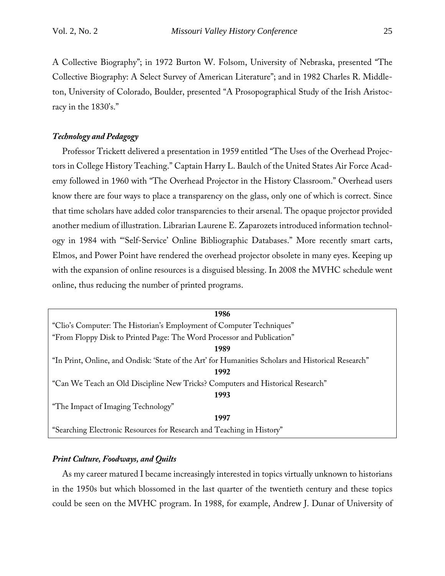A Collective Biography"; in 1972 Burton W. Folsom, University of Nebraska, presented "The Collective Biography: A Select Survey of American Literature"; and in 1982 Charles R. Middleton, University of Colorado, Boulder, presented "A Prosopographical Study of the Irish Aristocracy in the 1830's."

#### *Technology and Pedagogy*

Professor Trickett delivered a presentation in 1959 entitled "The Uses of the Overhead Projectors in College History Teaching." Captain Harry L. Baulch of the United States Air Force Academy followed in 1960 with "The Overhead Projector in the History Classroom." Overhead users know there are four ways to place a transparency on the glass, only one of which is correct. Since that time scholars have added color transparencies to their arsenal. The opaque projector provided another medium of illustration. Librarian Laurene E. Zaparozets introduced information technology in 1984 with "'Self-Service' Online Bibliographic Databases." More recently smart carts, Elmos, and Power Point have rendered the overhead projector obsolete in many eyes. Keeping up with the expansion of online resources is a disguised blessing. In 2008 the MVHC schedule went online, thus reducing the number of printed programs.

| 1986                                                                                               |  |  |  |  |
|----------------------------------------------------------------------------------------------------|--|--|--|--|
| "Clio's Computer: The Historian's Employment of Computer Techniques"                               |  |  |  |  |
| "From Floppy Disk to Printed Page: The Word Processor and Publication"                             |  |  |  |  |
| 1989                                                                                               |  |  |  |  |
| "In Print, Online, and Ondisk: 'State of the Art' for Humanities Scholars and Historical Research" |  |  |  |  |
| 1992                                                                                               |  |  |  |  |
| "Can We Teach an Old Discipline New Tricks? Computers and Historical Research"                     |  |  |  |  |
| 1993                                                                                               |  |  |  |  |
| "The Impact of Imaging Technology"                                                                 |  |  |  |  |
| 1997                                                                                               |  |  |  |  |
| "Searching Electronic Resources for Research and Teaching in History"                              |  |  |  |  |
|                                                                                                    |  |  |  |  |

#### *Print Culture, Foodways, and Quilts*

As my career matured I became increasingly interested in topics virtually unknown to historians in the 1950s but which blossomed in the last quarter of the twentieth century and these topics could be seen on the MVHC program. In 1988, for example, Andrew J. Dunar of University of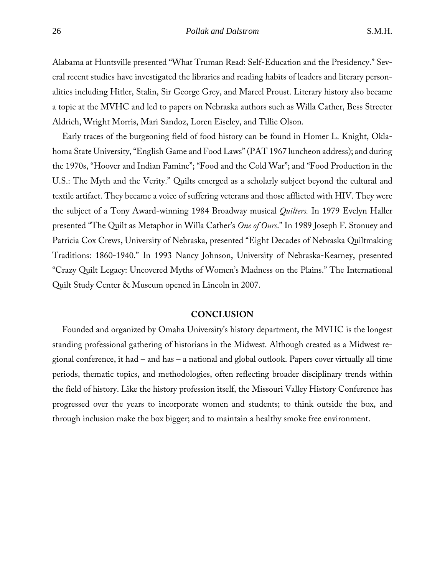Alabama at Huntsville presented "What Truman Read: Self-Education and the Presidency." Several recent studies have investigated the libraries and reading habits of leaders and literary personalities including Hitler, Stalin, Sir George Grey, and Marcel Proust. Literary history also became a topic at the MVHC and led to papers on Nebraska authors such as Willa Cather, Bess Streeter Aldrich, Wright Morris, Mari Sandoz, Loren Eiseley, and Tillie Olson.

Early traces of the burgeoning field of food history can be found in Homer L. Knight, Oklahoma State University, "English Game and Food Laws" (PAT 1967 luncheon address); and during the 1970s, "Hoover and Indian Famine"; "Food and the Cold War"; and "Food Production in the U.S.: The Myth and the Verity." Quilts emerged as a scholarly subject beyond the cultural and textile artifact. They became a voice of suffering veterans and those afflicted with HIV. They were the subject of a Tony Award-winning 1984 Broadway musical *Quilters.* In 1979 Evelyn Haller presented "The Quilt as Metaphor in Willa Cather's *One of Ours*." In 1989 Joseph F. Stonuey and Patricia Cox Crews, University of Nebraska, presented "Eight Decades of Nebraska Quiltmaking Traditions: 1860-1940." In 1993 Nancy Johnson, University of Nebraska-Kearney, presented "Crazy Quilt Legacy: Uncovered Myths of Women's Madness on the Plains." The International Quilt Study Center & Museum opened in Lincoln in 2007.

#### **CONCLUSION**

Founded and organized by Omaha University's history department, the MVHC is the longest standing professional gathering of historians in the Midwest. Although created as a Midwest regional conference, it had – and has – a national and global outlook. Papers cover virtually all time periods, thematic topics, and methodologies, often reflecting broader disciplinary trends within the field of history. Like the history profession itself, the Missouri Valley History Conference has progressed over the years to incorporate women and students; to think outside the box, and through inclusion make the box bigger; and to maintain a healthy smoke free environment.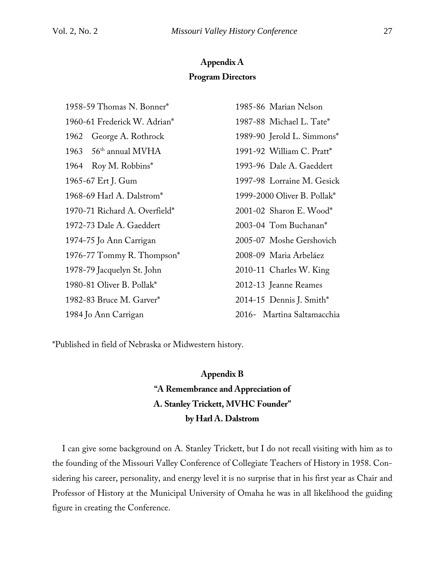### **Appendix A Program Directors**

| 1958-59 Thomas N. Bonner*     | 1985-86 Marian Nelson       |
|-------------------------------|-----------------------------|
| 1960-61 Frederick W. Adrian*  | 1987-88 Michael L. Tate*    |
| George A. Rothrock<br>1962    | 1989-90 Jerold L. Simmons*  |
| 1963 $56th$ annual MVHA       | 1991-92 William C. Pratt*   |
| 1964 Roy M. Robbins*          | 1993-96 Dale A. Gaeddert    |
| 1965-67 Ert J. Gum            | 1997-98 Lorraine M. Gesick  |
| 1968-69 Harl A. Dalstrom*     | 1999-2000 Oliver B. Pollak* |
| 1970-71 Richard A. Overfield* | 2001-02 Sharon E. Wood*     |
| 1972-73 Dale A. Gaeddert      | 2003-04 Tom Buchanan*       |
| 1974-75 Jo Ann Carrigan       | 2005-07 Moshe Gershovich    |
| 1976-77 Tommy R. Thompson*    | 2008-09 Maria Arbeláez      |
| 1978-79 Jacquelyn St. John    | 2010-11 Charles W. King     |
| 1980-81 Oliver B. Pollak*     | 2012-13 Jeanne Reames       |
| 1982-83 Bruce M. Garver*      | 2014-15 Dennis J. Smith*    |
| 1984 Jo Ann Carrigan          | 2016 - Martina Saltamacchia |

\*Published in field of Nebraska or Midwestern history.

**Appendix B "A Remembrance and Appreciation of A. Stanley Trickett, MVHC Founder" by Harl A. Dalstrom**

I can give some background on A. Stanley Trickett, but I do not recall visiting with him as to the founding of the Missouri Valley Conference of Collegiate Teachers of History in 1958. Considering his career, personality, and energy level it is no surprise that in his first year as Chair and Professor of History at the Municipal University of Omaha he was in all likelihood the guiding figure in creating the Conference.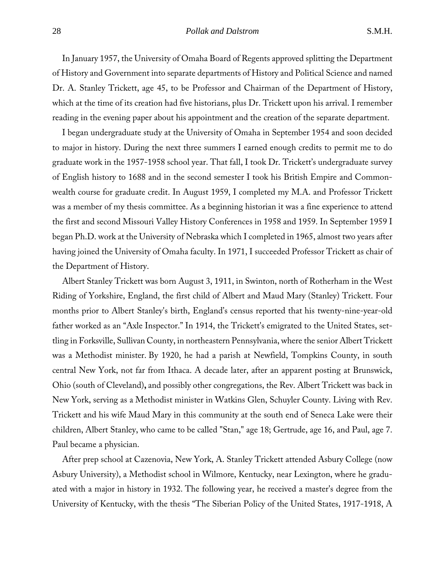In January 1957, the University of Omaha Board of Regents approved splitting the Department of History and Government into separate departments of History and Political Science and named Dr. A. Stanley Trickett, age 45, to be Professor and Chairman of the Department of History, which at the time of its creation had five historians, plus Dr. Trickett upon his arrival. I remember reading in the evening paper about his appointment and the creation of the separate department.

I began undergraduate study at the University of Omaha in September 1954 and soon decided to major in history. During the next three summers I earned enough credits to permit me to do graduate work in the 1957-1958 school year. That fall, I took Dr. Trickett's undergraduate survey of English history to 1688 and in the second semester I took his British Empire and Commonwealth course for graduate credit. In August 1959, I completed my M.A. and Professor Trickett was a member of my thesis committee. As a beginning historian it was a fine experience to attend the first and second Missouri Valley History Conferences in 1958 and 1959. In September 1959 I began Ph.D. work at the University of Nebraska which I completed in 1965, almost two years after having joined the University of Omaha faculty. In 1971, I succeeded Professor Trickett as chair of the Department of History.

Albert Stanley Trickett was born August 3, 1911, in Swinton, north of Rotherham in the West Riding of Yorkshire, England, the first child of Albert and Maud Mary (Stanley) Trickett. Four months prior to Albert Stanley's birth, England's census reported that his twenty-nine-year-old father worked as an "Axle Inspector." In 1914, the Trickett's emigrated to the United States, settling in Forksville, Sullivan County, in northeastern Pennsylvania, where the senior Albert Trickett was a Methodist minister. By 1920, he had a parish at Newfield, Tompkins County, in south central New York, not far from Ithaca. A decade later, after an apparent posting at Brunswick, Ohio (south of Cleveland)**,** and possibly other congregations, the Rev. Albert Trickett was back in New York, serving as a Methodist minister in Watkins Glen, Schuyler County. Living with Rev. Trickett and his wife Maud Mary in this community at the south end of Seneca Lake were their children, Albert Stanley, who came to be called "Stan," age 18; Gertrude, age 16, and Paul, age 7. Paul became a physician.

After prep school at Cazenovia, New York, A. Stanley Trickett attended Asbury College (now Asbury University), a Methodist school in Wilmore, Kentucky, near Lexington, where he graduated with a major in history in 1932. The following year, he received a master's degree from the University of Kentucky, with the thesis "The Siberian Policy of the United States, 1917-1918, A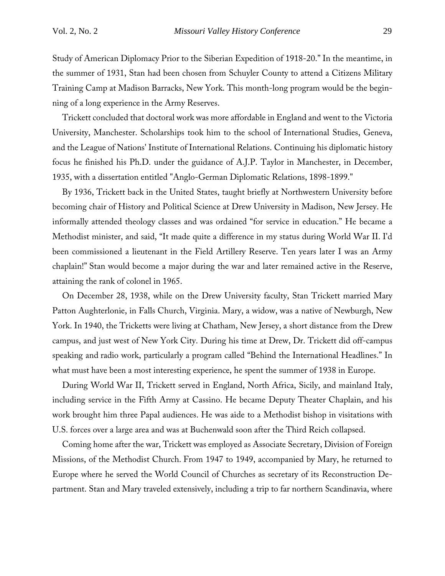Study of American Diplomacy Prior to the Siberian Expedition of 1918-20." In the meantime, in the summer of 1931, Stan had been chosen from Schuyler County to attend a Citizens Military Training Camp at Madison Barracks, New York. This month-long program would be the beginning of a long experience in the Army Reserves.

Trickett concluded that doctoral work was more affordable in England and went to the Victoria University, Manchester. Scholarships took him to the school of International Studies, Geneva, and the League of Nations' Institute of International Relations. Continuing his diplomatic history focus he finished his Ph.D. under the guidance of A.J.P. Taylor in Manchester, in December, 1935, with a dissertation entitled "Anglo-German Diplomatic Relations, 1898-1899."

By 1936, Trickett back in the United States, taught briefly at Northwestern University before becoming chair of History and Political Science at Drew University in Madison, New Jersey. He informally attended theology classes and was ordained "for service in education." He became a Methodist minister, and said, "It made quite a difference in my status during World War II. I'd been commissioned a lieutenant in the Field Artillery Reserve. Ten years later I was an Army chaplain!" Stan would become a major during the war and later remained active in the Reserve, attaining the rank of colonel in 1965.

On December 28, 1938, while on the Drew University faculty, Stan Trickett married Mary Patton Aughterlonie, in Falls Church, Virginia. Mary, a widow, was a native of Newburgh, New York. In 1940, the Tricketts were living at Chatham, New Jersey, a short distance from the Drew campus, and just west of New York City. During his time at Drew, Dr. Trickett did off-campus speaking and radio work, particularly a program called "Behind the International Headlines." In what must have been a most interesting experience, he spent the summer of 1938 in Europe.

During World War II, Trickett served in England, North Africa, Sicily, and mainland Italy, including service in the Fifth Army at Cassino. He became Deputy Theater Chaplain, and his work brought him three Papal audiences. He was aide to a Methodist bishop in visitations with U.S. forces over a large area and was at Buchenwald soon after the Third Reich collapsed.

Coming home after the war, Trickett was employed as Associate Secretary, Division of Foreign Missions, of the Methodist Church. From 1947 to 1949, accompanied by Mary, he returned to Europe where he served the World Council of Churches as secretary of its Reconstruction Department. Stan and Mary traveled extensively, including a trip to far northern Scandinavia, where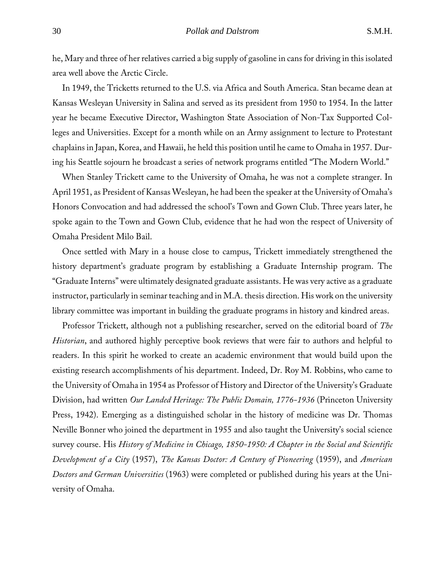he, Mary and three of her relatives carried a big supply of gasoline in cans for driving in this isolated area well above the Arctic Circle.

In 1949, the Tricketts returned to the U.S. via Africa and South America. Stan became dean at Kansas Wesleyan University in Salina and served as its president from 1950 to 1954. In the latter year he became Executive Director, Washington State Association of Non-Tax Supported Colleges and Universities. Except for a month while on an Army assignment to lecture to Protestant chaplains in Japan, Korea, and Hawaii, he held this position until he came to Omaha in 1957. During his Seattle sojourn he broadcast a series of network programs entitled "The Modern World."

When Stanley Trickett came to the University of Omaha, he was not a complete stranger. In April 1951, as President of Kansas Wesleyan, he had been the speaker at the University of Omaha's Honors Convocation and had addressed the school's Town and Gown Club. Three years later, he spoke again to the Town and Gown Club, evidence that he had won the respect of University of Omaha President Milo Bail.

Once settled with Mary in a house close to campus, Trickett immediately strengthened the history department's graduate program by establishing a Graduate Internship program. The "Graduate Interns" were ultimately designated graduate assistants. He was very active as a graduate instructor, particularly in seminar teaching and in M.A. thesis direction. His work on the university library committee was important in building the graduate programs in history and kindred areas.

Professor Trickett, although not a publishing researcher, served on the editorial board of *The Historian*, and authored highly perceptive book reviews that were fair to authors and helpful to readers. In this spirit he worked to create an academic environment that would build upon the existing research accomplishments of his department. Indeed, Dr. Roy M. Robbins, who came to the University of Omaha in 1954 as Professor of History and Director of the University's Graduate Division, had written *Our Landed Heritage: The Public Domain, 1776-1936* (Princeton University Press, 1942). Emerging as a distinguished scholar in the history of medicine was Dr. Thomas Neville Bonner who joined the department in 1955 and also taught the University's social science survey course. His *History of Medicine in Chicago, 1850-1950: A Chapter in the Social and Scientific Development of a City* (1957), *The Kansas Doctor: A Century of Pioneering* (1959), and *American Doctors and German Universities* (1963) were completed or published during his years at the University of Omaha.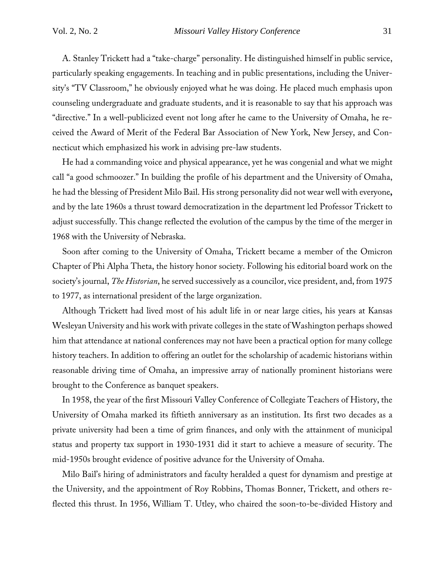A. Stanley Trickett had a "take-charge" personality. He distinguished himself in public service, particularly speaking engagements. In teaching and in public presentations, including the University's "TV Classroom," he obviously enjoyed what he was doing. He placed much emphasis upon counseling undergraduate and graduate students, and it is reasonable to say that his approach was "directive." In a well-publicized event not long after he came to the University of Omaha, he received the Award of Merit of the Federal Bar Association of New York, New Jersey, and Connecticut which emphasized his work in advising pre-law students.

He had a commanding voice and physical appearance, yet he was congenial and what we might call "a good schmoozer." In building the profile of his department and the University of Omaha, he had the blessing of President Milo Bail. His strong personality did not wear well with everyone**,**  and by the late 1960s a thrust toward democratization in the department led Professor Trickett to adjust successfully. This change reflected the evolution of the campus by the time of the merger in 1968 with the University of Nebraska.

Soon after coming to the University of Omaha, Trickett became a member of the Omicron Chapter of Phi Alpha Theta, the history honor society. Following his editorial board work on the society's journal, *The Historian*, he served successively as a councilor, vice president, and, from 1975 to 1977, as international president of the large organization.

Although Trickett had lived most of his adult life in or near large cities, his years at Kansas Wesleyan University and his work with private colleges in the state of Washington perhaps showed him that attendance at national conferences may not have been a practical option for many college history teachers. In addition to offering an outlet for the scholarship of academic historians within reasonable driving time of Omaha, an impressive array of nationally prominent historians were brought to the Conference as banquet speakers.

In 1958, the year of the first Missouri Valley Conference of Collegiate Teachers of History, the University of Omaha marked its fiftieth anniversary as an institution. Its first two decades as a private university had been a time of grim finances, and only with the attainment of municipal status and property tax support in 1930-1931 did it start to achieve a measure of security. The mid-1950s brought evidence of positive advance for the University of Omaha.

Milo Bail's hiring of administrators and faculty heralded a quest for dynamism and prestige at the University, and the appointment of Roy Robbins, Thomas Bonner, Trickett, and others reflected this thrust. In 1956, William T. Utley, who chaired the soon-to-be-divided History and